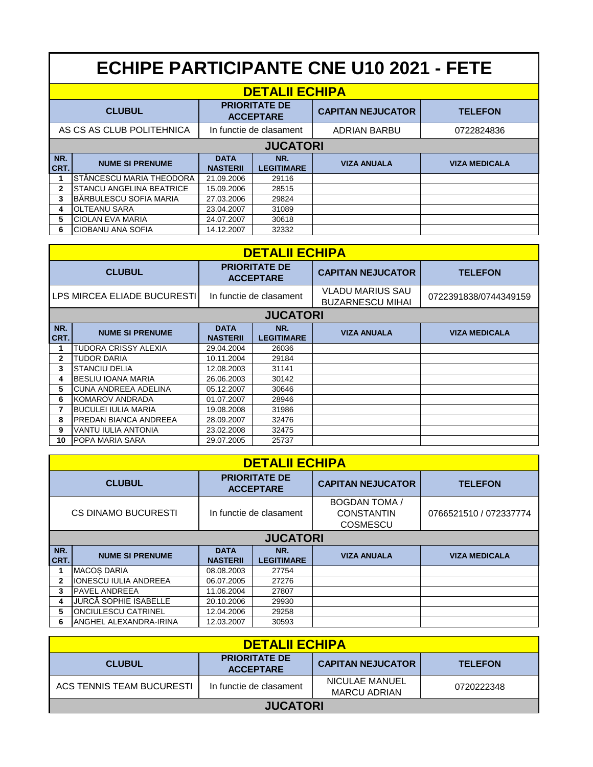| <b>ECHIPE PARTICIPANTE CNE U10 2021 - FETE</b> |                                 |                                          |                          |                          |                      |  |
|------------------------------------------------|---------------------------------|------------------------------------------|--------------------------|--------------------------|----------------------|--|
| <b>DETALII ECHIPA</b>                          |                                 |                                          |                          |                          |                      |  |
|                                                | <b>CLUBUL</b>                   | <b>PRIORITATE DE</b><br><b>ACCEPTARE</b> |                          | <b>CAPITAN NEJUCATOR</b> | <b>TELEFON</b>       |  |
|                                                | AS CS AS CLUB POLITEHNICA       | In functie de clasament                  |                          | <b>ADRIAN BARBU</b>      | 0722824836           |  |
| <b>JUCATORI</b>                                |                                 |                                          |                          |                          |                      |  |
| NR.<br>CRT.                                    | <b>NUME SI PRENUME</b>          | <b>DATA</b><br><b>NASTERII</b>           | NR.<br><b>LEGITIMARE</b> | <b>VIZA ANUALA</b>       | <b>VIZA MEDICALA</b> |  |
|                                                | STĂNCESCU MARIA THEODORA        | 21.09.2006                               | 29116                    |                          |                      |  |
| $\mathbf{2}$                                   | <b>STANCU ANGELINA BEATRICE</b> | 15.09.2006                               | 28515                    |                          |                      |  |
| 3                                              | IBĂRBULESCU SOFIA MARIA         | 27.03.2006                               | 29824                    |                          |                      |  |
| 4                                              | <b>OLTEANU SARA</b>             | 23.04.2007                               | 31089                    |                          |                      |  |
| 5                                              | <b>CIOLAN EVA MARIA</b>         | 24.07.2007                               | 30618                    |                          |                      |  |
| 6                                              | ICIOBANU ANA SOFIA              | 14.12.2007                               | 32332                    |                          |                      |  |

| <b>DETALII ECHIPA</b>              |                            |                                          |                          |                                                    |                       |  |  |
|------------------------------------|----------------------------|------------------------------------------|--------------------------|----------------------------------------------------|-----------------------|--|--|
| <b>CLUBUL</b>                      |                            | <b>PRIORITATE DE</b><br><b>ACCEPTARE</b> |                          | <b>CAPITAN NEJUCATOR</b>                           | <b>TELEFON</b>        |  |  |
| <b>LPS MIRCEA ELIADE BUCURESTI</b> |                            | In functie de clasament                  |                          | <b>VLADU MARIUS SAU</b><br><b>BUZARNESCU MIHAI</b> | 0722391838/0744349159 |  |  |
|                                    | <b>JUCATORI</b>            |                                          |                          |                                                    |                       |  |  |
| NR.<br>CRT.                        | <b>NUME SI PRENUME</b>     | <b>DATA</b><br><b>NASTERII</b>           | NR.<br><b>LEGITIMARE</b> | <b>VIZA ANUALA</b>                                 | <b>VIZA MEDICALA</b>  |  |  |
|                                    | TUDORA CRISSY ALEXIA       | 29.04.2004                               | 26036                    |                                                    |                       |  |  |
| $\mathbf{2}$                       | <b>TUDOR DARIA</b>         | 10.11.2004                               | 29184                    |                                                    |                       |  |  |
| 3                                  | <b>STANCIU DELIA</b>       | 12.08.2003                               | 31141                    |                                                    |                       |  |  |
| 4                                  | <b>IBESLIU IOANA MARIA</b> | 26.06.2003                               | 30142                    |                                                    |                       |  |  |
| 5                                  | CUNA ANDREEA ADELINA       | 05.12.2007                               | 30646                    |                                                    |                       |  |  |
| 6                                  | IKOMAROV ANDRADA           | 01.07.2007                               | 28946                    |                                                    |                       |  |  |
|                                    | <b>BUCULEI IULIA MARIA</b> | 19.08.2008                               | 31986                    |                                                    |                       |  |  |
| 8                                  | PREDAN BIANCA ANDREEA      | 28.09.2007                               | 32476                    |                                                    |                       |  |  |
| 9                                  | VANTU IULIA ANTONIA        | 23.02.2008                               | 32475                    |                                                    |                       |  |  |
| 10                                 | <b>POPA MARIA SARA</b>     | 29.07.2005                               | 25737                    |                                                    |                       |  |  |

| <b>DETALII ECHIPA</b>     |                            |                                          |                          |                                                              |                        |  |  |
|---------------------------|----------------------------|------------------------------------------|--------------------------|--------------------------------------------------------------|------------------------|--|--|
|                           | <b>CLUBUL</b>              | <b>PRIORITATE DE</b><br><b>ACCEPTARE</b> |                          | <b>CAPITAN NEJUCATOR</b>                                     | <b>TELEFON</b>         |  |  |
| CS DINAMO BUCURESTI       |                            | In functie de clasament                  |                          | <b>BOGDAN TOMA /</b><br><b>CONSTANTIN</b><br><b>COSMESCU</b> | 0766521510 / 072337774 |  |  |
|                           | <b>JUCATORI</b>            |                                          |                          |                                                              |                        |  |  |
| NR.<br>CRT.               | <b>NUME SI PRENUME</b>     | <b>DATA</b><br><b>NASTERII</b>           | NR.<br><b>LEGITIMARE</b> | <b>VIZA ANUALA</b>                                           | <b>VIZA MEDICALA</b>   |  |  |
|                           | <b>MACOS DARIA</b>         | 08.08.2003                               | 27754                    |                                                              |                        |  |  |
| 2                         | IIONESCU IULIA ANDREEA     | 06.07.2005                               | 27276                    |                                                              |                        |  |  |
| <b>PAVEL ANDREEA</b><br>3 |                            | 11.06.2004                               | 27807                    |                                                              |                        |  |  |
| 4                         | JURCĂ SOPHIE ISABELLE      | 20.10.2006                               | 29930                    |                                                              |                        |  |  |
| 5                         | <b>ONCIULESCU CATRINEL</b> | 12.04.2006                               | 29258                    |                                                              |                        |  |  |
| 6                         | IANGHEL ALEXANDRA-IRINA    | 12.03.2007                               | 30593                    |                                                              |                        |  |  |

| <b>DETALII ECHIPA</b>     |                                          |                                       |                |  |  |
|---------------------------|------------------------------------------|---------------------------------------|----------------|--|--|
| <b>CLUBUL</b>             | <b>PRIORITATE DE</b><br><b>ACCEPTARE</b> | <b>CAPITAN NEJUCATOR</b>              | <b>TELEFON</b> |  |  |
| ACS TENNIS TEAM BUCURESTI | In functie de clasament                  | NICULAE MANUEL<br><b>MARCU ADRIAN</b> | 0720222348     |  |  |
| <b>JUCATORI</b>           |                                          |                                       |                |  |  |